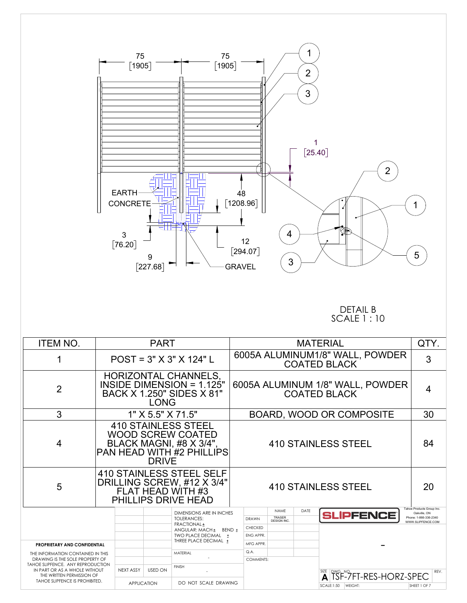

## DETAIL B SCALE 1 : 10

| <b>ITEM NO.</b>                                                                                                                                                                                           | <b>PART</b>                                                                                                                           |                    |                |                                              |  | <b>MATERIAL</b>                                         |                             |      |                   |         |                                        |                                            | QTY. |
|-----------------------------------------------------------------------------------------------------------------------------------------------------------------------------------------------------------|---------------------------------------------------------------------------------------------------------------------------------------|--------------------|----------------|----------------------------------------------|--|---------------------------------------------------------|-----------------------------|------|-------------------|---------|----------------------------------------|--------------------------------------------|------|
| 1                                                                                                                                                                                                         |                                                                                                                                       |                    |                | $POST = 3" X 3" X 124" L$                    |  | 6005A ALUMINUM1/8" WALL, POWDER<br><b>COATED BLACK</b>  |                             |      |                   |         |                                        |                                            | 3    |
| $\overline{2}$                                                                                                                                                                                            | HORIZONTAL CHANNELS,<br>INSIDE DIMENSION = 1.125"<br>BACK X 1.250" SIDES X 81"<br><b>LONG</b>                                         |                    |                |                                              |  | 6005A ALUMINUM 1/8" WALL, POWDER<br><b>COATED BLACK</b> |                             |      |                   |         |                                        |                                            | 4    |
| 3                                                                                                                                                                                                         |                                                                                                                                       | 1" X 5.5" X 71.5"  |                |                                              |  | <b>BOARD, WOOD OR COMPOSITE</b>                         |                             |      |                   |         |                                        |                                            | 30   |
| 4                                                                                                                                                                                                         | <b>410 STAINLESS STEEL</b><br><b>WOOD SCREW COATED</b><br>BLACK MAGNI, #8 X 3/4",<br><b>PAN HEAD WITH #2 PHILLIPS</b><br><b>DRIVE</b> |                    |                |                                              |  | <b>410 STAINLESS STEEL</b>                              |                             |      |                   |         |                                        |                                            | 84   |
| 5                                                                                                                                                                                                         | <b>410 STAINLESS STEEL SELF</b><br>DRILLING SCREW, #12 X 3/4"<br>FLAT HEAD WITH #3<br>PHILLIPS DRIVE HEAD                             |                    |                |                                              |  | <b>410 STAINLESS STEEL</b>                              |                             |      |                   |         |                                        |                                            | 20   |
|                                                                                                                                                                                                           |                                                                                                                                       |                    |                | <b>DIMENSIONS ARE IN INCHES</b>              |  |                                                         | <b>NAME</b>                 | DATE |                   |         | <b>SLIPFENCE</b>                       | Tahoe Products Group Inc.<br>Oakville, ON  |      |
|                                                                                                                                                                                                           |                                                                                                                                       |                    |                | <b>TOLERANCES:</b><br>FRACTIONAL ±           |  | <b>DRAWN</b>                                            | TRASER<br><b>DESIGN INC</b> |      |                   |         |                                        | Phone: 1-866-336-2340<br>WWW.SLIPFENCE.COM |      |
|                                                                                                                                                                                                           |                                                                                                                                       |                    |                | ANGULAR: MACH ± BEND ±                       |  | CHECKED                                                 |                             |      |                   |         |                                        |                                            |      |
|                                                                                                                                                                                                           |                                                                                                                                       |                    |                | TWO PLACE DECIMAL +<br>THREE PLACE DECIMAL ± |  | ENG APPR.                                               |                             |      |                   |         |                                        |                                            |      |
| <b>PROPRIETARY AND CONFIDENTIAL</b>                                                                                                                                                                       |                                                                                                                                       |                    |                |                                              |  | MFG APPR.                                               |                             |      |                   |         |                                        |                                            |      |
| THE INFORMATION CONTAINED IN THIS<br>DRAWING IS THE SOLE PROPERTY OF<br>TAHOE SLIPFENCE. ANY REPRODUCTION<br>IN PART OR AS A WHOLE WITHOUT<br>THE WRITTEN PERMISSION OF<br>TAHOE SLIPFENCE IS PROHIBITED. |                                                                                                                                       |                    |                | <b>MATERIAL</b>                              |  | Q.A.<br>COMMENTS:                                       |                             |      |                   |         |                                        |                                            |      |
|                                                                                                                                                                                                           |                                                                                                                                       | <b>NEXT ASSY</b>   | <b>USED ON</b> | <b>FINISH</b>                                |  |                                                         |                             |      |                   |         | SIZE DWG, NO. <b>FIT-RES-HORZ-SPEC</b> |                                            | REV. |
|                                                                                                                                                                                                           |                                                                                                                                       | <b>APPLICATION</b> |                | DO NOT SCALE DRAWING                         |  |                                                         |                             |      | <b>SCALE:1:50</b> | WEIGHT: |                                        | SHEET 1 OF 7                               |      |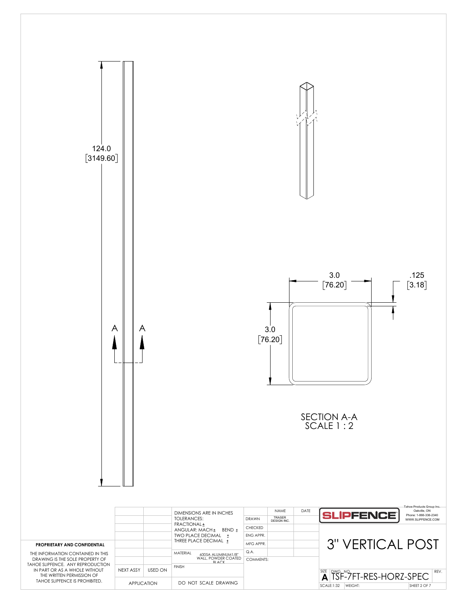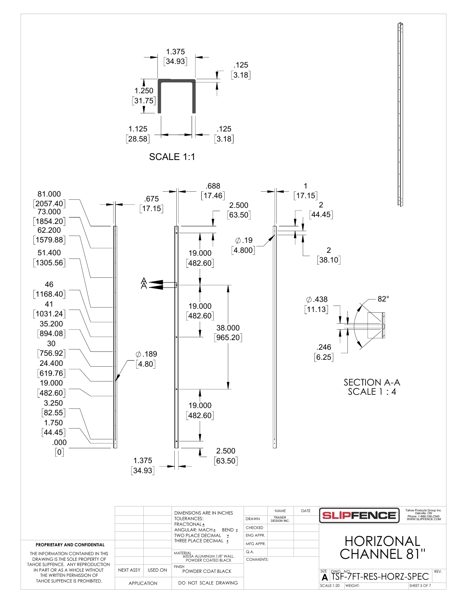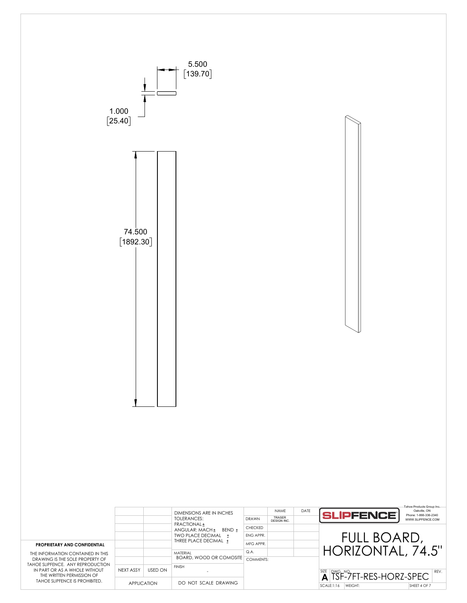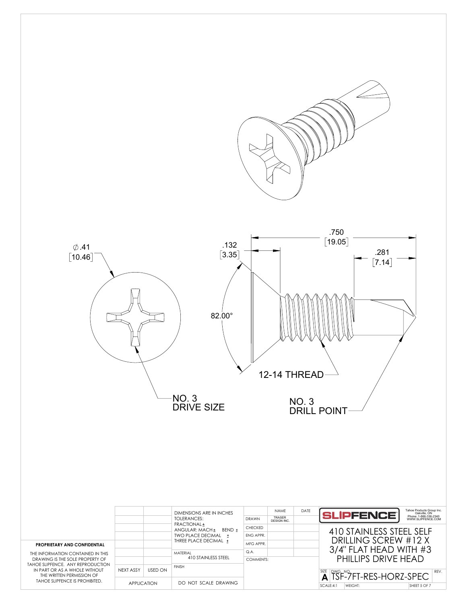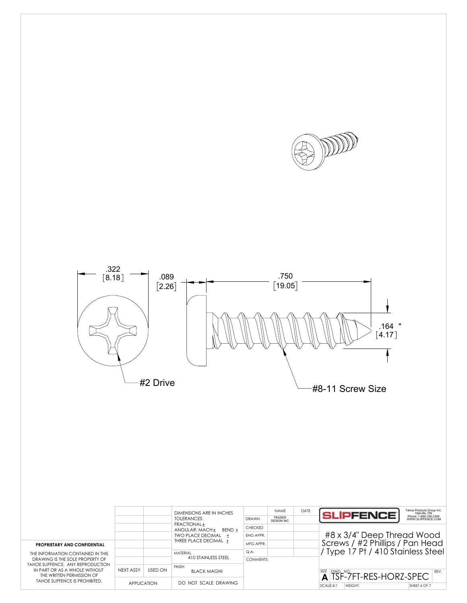



|                                                                                                                                   |                    |                | <b>DIMENSIONS ARE IN INCHES</b><br>TOI FRANCES:                 | <b>DRAWN</b>                | <b>NAME</b><br><b>TRASER</b><br>DESIGN INC. | DATE | Tahoe Products Group Inc.<br><b>SLIPFENCET</b><br>Oakville, ON<br>Phone: 1-866-336-2340<br>WWW.SLIPFENCE.COM |  |  |  |
|-----------------------------------------------------------------------------------------------------------------------------------|--------------------|----------------|-----------------------------------------------------------------|-----------------------------|---------------------------------------------|------|--------------------------------------------------------------------------------------------------------------|--|--|--|
|                                                                                                                                   |                    |                | FRACTIONAL ±<br>BFND +<br>ANGULAR: MACH+<br>TWO PLACE DECIMAL + | <b>CHECKED</b><br>FNG APPR. |                                             |      | #8 x 3/4" Deep Thread Wood                                                                                   |  |  |  |
| <b>PROPRIETARY AND CONFIDENTIAL</b>                                                                                               |                    |                | THREE PLACE DECIMAL ±                                           | MFG APPR.                   |                                             |      | Screws / #2 Phillips / Pan Head                                                                              |  |  |  |
| THE INFORMATION CONTAINED IN THIS<br>DRAWING IS THE SOLE PROPERTY OF                                                              |                    |                | MATFRIAL<br>410 STAINLESS STEEL                                 | Q.A<br>COMMENTS:            |                                             |      | Type 17 Pt / 410 Stainless Steel                                                                             |  |  |  |
| TAHOE SLIPFENCE. ANY REPRODUCTION<br>IN PART OR AS A WHOLE WITHOUT<br>THE WRITTEN PERMISSION OF<br>TAHOE SLIPFENCE IS PROHIBITED. | NEXT ASSY          | <b>USED ON</b> | <b>FINISH</b><br><b>BLACK MAGNI</b>                             |                             |                                             |      | $\overline{A}^{\text{SZE}}$ $\overline{S}$ F-7FT-RES-HORZ-SPEC<br>REV.                                       |  |  |  |
|                                                                                                                                   | <b>APPLICATION</b> |                | DO NOT SCALE DRAWING                                            |                             |                                             |      | SCALE:4:1<br>WEIGHT:<br>SHEET 6 OF 7                                                                         |  |  |  |